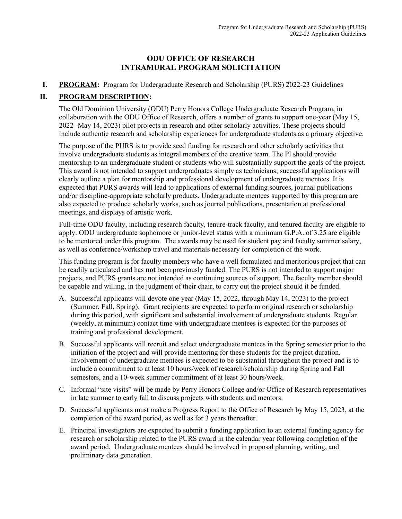## **ODU OFFICE OF RESEARCH INTRAMURAL PROGRAM SOLICITATION**

**I. PROGRAM:** Program for Undergraduate Research and Scholarship (PURS) 2022-23 Guidelines

## **II. PROGRAM DESCRIPTION:**

The Old Dominion University (ODU) Perry Honors College Undergraduate Research Program, in collaboration with the ODU Office of Research, offers a number of grants to support one-year (May 15, 2022 -May 14, 2023) pilot projects in research and other scholarly activities. These projects should include authentic research and scholarship experiences for undergraduate students as a primary objective.

The purpose of the PURS is to provide seed funding for research and other scholarly activities that involve undergraduate students as integral members of the creative team. The PI should provide mentorship to an undergraduate student or students who will substantially support the goals of the project. This award is not intended to support undergraduates simply as technicians; successful applications will clearly outline a plan for mentorship and professional development of undergraduate mentees. It is expected that PURS awards will lead to applications of external funding sources, journal publications and/or discipline-appropriate scholarly products. Undergraduate mentees supported by this program are also expected to produce scholarly works, such as journal publications, presentation at professional meetings, and displays of artistic work.

Full-time ODU faculty, including research faculty, tenure-track faculty, and tenured faculty are eligible to apply. ODU undergraduate sophomore or junior-level status with a minimum G.P.A. of 3.25 are eligible to be mentored under this program. The awards may be used for student pay and faculty summer salary, as well as conference/workshop travel and materials necessary for completion of the work.

This funding program is for faculty members who have a well formulated and meritorious project that can be readily articulated and has **not** been previously funded. The PURS is not intended to support major projects, and PURS grants are not intended as continuing sources of support. The faculty member should be capable and willing, in the judgment of their chair, to carry out the project should it be funded.

- A. Successful applicants will devote one year (May 15, 2022, through May 14, 2023) to the project (Summer, Fall, Spring). Grant recipients are expected to perform original research or scholarship during this period, with significant and substantial involvement of undergraduate students. Regular (weekly, at minimum) contact time with undergraduate mentees is expected for the purposes of training and professional development.
- B. Successful applicants will recruit and select undergraduate mentees in the Spring semester prior to the initiation of the project and will provide mentoring for these students for the project duration. Involvement of undergraduate mentees is expected to be substantial throughout the project and is to include a commitment to at least 10 hours/week of research/scholarship during Spring and Fall semesters, and a 10-week summer commitment of at least 30 hours/week.
- C. Informal "site visits" will be made by Perry Honors College and/or Office of Research representatives in late summer to early fall to discuss projects with students and mentors.
- D. Successful applicants must make a Progress Report to the Office of Research by May 15, 2023, at the completion of the award period, as well as for 3 years thereafter.
- E. Principal investigators are expected to submit a funding application to an external funding agency for research or scholarship related to the PURS award in the calendar year following completion of the award period. Undergraduate mentees should be involved in proposal planning, writing, and preliminary data generation.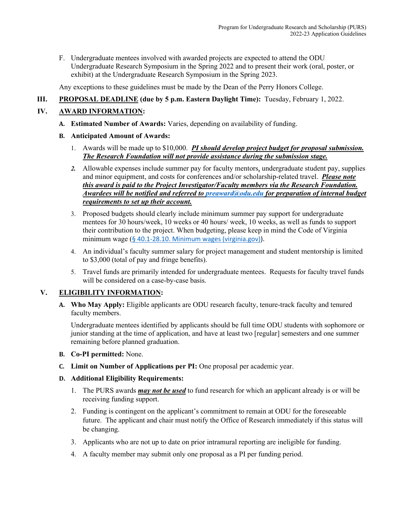F. Undergraduate mentees involved with awarded projects are expected to attend the ODU Undergraduate Research Symposium in the Spring 2022 and to present their work (oral, poster, or exhibit) at the Undergraduate Research Symposium in the Spring 2023.

Any exceptions to these guidelines must be made by the Dean of the Perry Honors College.

## **III. PROPOSAL DEADLINE (due by 5 p.m. Eastern Daylight Time):** Tuesday, February 1, 2022.

## **IV. AWARD INFORMATION:**

**A. Estimated Number of Awards:** Varies, depending on availability of funding.

### **B. Anticipated Amount of Awards:**

- 1. Awards will be made up to \$10,000. *PI should develop project budget for proposal submission. The Research Foundation will not provide assistance during the submission stage.*
- *2.* Allowable expenses include summer pay for faculty mentors, undergraduate student pay, supplies and minor equipment, and costs for conferences and/or scholarship-related travel. *Please note this award is paid to the Project Investigator/Faculty members via the Research Foundation. Awardees will be notified and referred to [preaward@odu.edu](mailto:preaward@odu.edu) for preparation of internal budget requirements to set up their account.*
- 3. Proposed budgets should clearly include minimum summer pay support for undergraduate mentees for 30 hours/week, 10 weeks or 40 hours/ week, 10 weeks, as well as funds to support their contribution to the project. When budgeting, please keep in mind the Code of Virginia minimum wage ([§ 40.1-28.10. Minimum wages \(virginia.gov\)\)](https://law.lis.virginia.gov/vacode/title40.1/chapter3/section40.1-28.10/).
- 4. An individual's faculty summer salary for project management and student mentorship is limited to \$3,000 (total of pay and fringe benefits).
- 5. Travel funds are primarily intended for undergraduate mentees. Requests for faculty travel funds will be considered on a case-by-case basis.

### **V. ELIGIBILITY INFORMATION:**

**A. Who May Apply:** Eligible applicants are ODU research faculty, tenure-track faculty and tenured faculty members.

Undergraduate mentees identified by applicants should be full time ODU students with sophomore or junior standing at the time of application, and have at least two [regular] semesters and one summer remaining before planned graduation.

- **B. Co-PI permitted:** None.
- **C. Limit on Number of Applications per PI:** One proposal per academic year.
- **D. Additional Eligibility Requirements:**
	- 1. The PURS awards *may not be used* to fund research for which an applicant already is or will be receiving funding support.
	- 2. Funding is contingent on the applicant's commitment to remain at ODU for the foreseeable future. The applicant and chair must notify the Office of Research immediately if this status will be changing.
	- 3. Applicants who are not up to date on prior intramural reporting are ineligible for funding.
	- 4. A faculty member may submit only one proposal as a PI per funding period.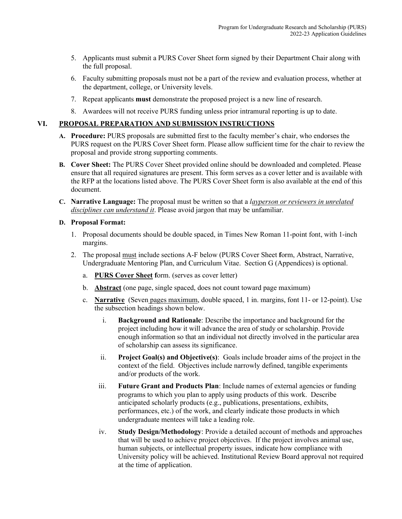- 5. Applicants must submit a PURS Cover Sheet form signed by their Department Chair along with the full proposal.
- 6. Faculty submitting proposals must not be a part of the review and evaluation process, whether at the department, college, or University levels.
- 7. Repeat applicants **must** demonstrate the proposed project is a new line of research.
- 8. Awardees will not receive PURS funding unless prior intramural reporting is up to date.

### **VI. PROPOSAL PREPARATION AND SUBMISSION INSTRUCTIONS**

- **A. Procedure:** PURS proposals are submitted first to the faculty member's chair, who endorses the PURS request on the PURS Cover Sheet form. Please allow sufficient time for the chair to review the proposal and provide strong supporting comments.
- **B. Cover Sheet:** The PURS Cover Sheet provided online should be downloaded and completed. Please ensure that all required signatures are present. This form serves as a cover letter and is available with the RFP at the locations listed above. The PURS Cover Sheet form is also available at the end of this document.
- **C. Narrative Language:** The proposal must be written so that a *layperson or reviewers in unrelated disciplines can understand it*. Please avoid jargon that may be unfamiliar.

#### **D. Proposal Format:**

- 1. Proposal documents should be double spaced, in Times New Roman 11-point font, with 1-inch margins.
- 2. The proposal must include sections A-F below (PURS Cover Sheet **f**orm, Abstract, Narrative, Undergraduate Mentoring Plan, and Curriculum Vitae. Section G (Appendices) is optional.
	- a. **PURS Cover Sheet f**orm. (serves as cover letter)
	- b. **Abstract** (one page, single spaced, does not count toward page maximum)
	- c. **Narrative** (Seven pages maximum, double spaced, 1 in. margins, font 11- or 12-point). Use the subsection headings shown below.
		- i. **Background and Rationale**: Describe the importance and background for the project including how it will advance the area of study or scholarship. Provide enough information so that an individual not directly involved in the particular area of scholarship can assess its significance.
		- ii. **Project Goal(s) and Objective(s)**: Goals include broader aims of the project in the context of the field. Objectives include narrowly defined, tangible experiments and/or products of the work.
		- iii. **Future Grant and Products Plan**: Include names of external agencies or funding programs to which you plan to apply using products of this work. Describe anticipated scholarly products (e.g., publications, presentations, exhibits, performances, etc.) of the work, and clearly indicate those products in which undergraduate mentees will take a leading role.
		- iv. **Study Design/Methodology**: Provide a detailed account of methods and approaches that will be used to achieve project objectives. If the project involves animal use, human subjects, or intellectual property issues, indicate how compliance with University policy will be achieved. Institutional Review Board approval not required at the time of application.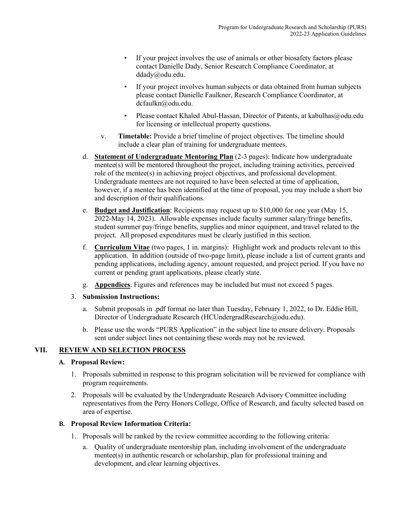- If your project involves the use of animals or other biosafety factors please contact Danielle Dady, Senior Research Compliance Coordinator, at ddady@odu.edu.
- If your project involves human subjects or data obtained from human subjects please contact Danielle Faulkner, Research Compliance Coordinator, at dcfaulkn@odu.edu.
- Please contact Khaled Abul-Hassan, Director of Patents, at kabulhas@odu.edu for licensing or intellectual property questions.
- v. **Timetable:** Provide a brief timeline of project objectives. The timeline should include a clear plan of training for undergraduate mentees.
- d. **Statement of Undergraduate Mentoring Plan** (2-3 pages): Indicate how undergraduate mentee(s) will be mentored throughout the project, including training activities, perceived role of the mentee(s) in achieving project objectives, and professional development. Undergraduate mentees are not required to have been selected at time of application, however, if a mentee has been identified at the time of proposal, you may include a short bio and description of their qualifications.
- e. **Budget and Justification**: Recipients may request up to \$10,000 for one year (May 15, 2022-May 14, 2023). Allowable expenses include faculty summer salary/fringe benefits, student summer pay/fringe benefits, supplies and minor equipment, and travel related to the project. All proposed expenditures must be clearly justified in this section.
- f. **Curriculum Vitae** (two pages, 1 in. margins): Highlight work and products relevant to this application. In addition (outside of two-page limit), please include a list of current grants and pending applications, including agency, amount requested, and project period. If you have no current or pending grant applications, please clearly state.
- g. **Appendices**. Figures and references may be included but must not exceed 5 pages.
- 3. **Submission Instructions:**
	- a. Submit proposals in .pdf format no later than Tuesday, February 1, 2022, to Dr. Eddie Hill, Director of Undergraduate Research (HCUndergradResearch@odu.edu).
	- b. Please use the words "PURS Application" in the subject line to ensure delivery. Proposals sent under subject lines not containing these words may not be reviewed.

### **VII. REVIEW AND SELECTION PROCESS**

#### **A. Proposal Review:**

- 1. Proposals submitted in response to this program solicitation will be reviewed for compliance with program requirements.
- 2. Proposals will be evaluated by the Undergraduate Research Advisory Committee including representatives from the Perry Honors College, Office of Research, and faculty selected based on area of expertise.

#### **B. Proposal Review Information Criteria:**

- 1. Proposals will be ranked by the review committee according to the following criteria:
	- a. Quality of undergraduate mentorship plan, including involvement of the undergraduate mentee(s) in authentic research or scholarship, plan for professional training and development, and clear learning objectives.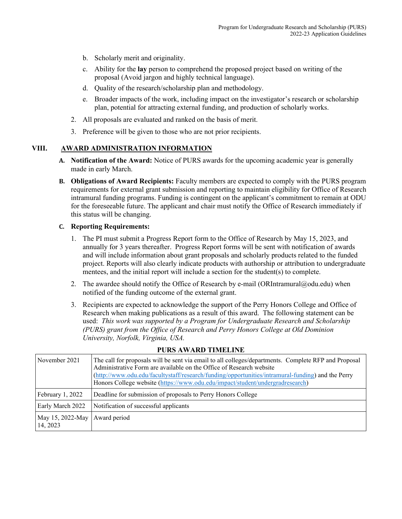- b. Scholarly merit and originality.
- c. Ability for the **lay** person to comprehend the proposed project based on writing of the proposal (Avoid jargon and highly technical language).
- d. Quality of the research/scholarship plan and methodology.
- e. Broader impacts of the work, including impact on the investigator's research or scholarship plan, potential for attracting external funding, and production of scholarly works.
- 2. All proposals are evaluated and ranked on the basis of merit.
- 3. Preference will be given to those who are not prior recipients.

### **VIII. AWARD ADMINISTRATION INFORMATION**

- **A. Notification of the Award:** Notice of PURS awards for the upcoming academic year is generally made in early March.
- **B. Obligations of Award Recipients:** Faculty members are expected to comply with the PURS program requirements for external grant submission and reporting to maintain eligibility for Office of Research intramural funding programs. Funding is contingent on the applicant's commitment to remain at ODU for the foreseeable future. The applicant and chair must notify the Office of Research immediately if this status will be changing.

#### **C. Reporting Requirements:**

- 1. The PI must submit a Progress Report form to the Office of Research by May 15, 2023, and annually for 3 years thereafter. Progress Report forms will be sent with notification of awards and will include information about grant proposals and scholarly products related to the funded project. Reports will also clearly indicate products with authorship or attribution to undergraduate mentees, and the initial report will include a section for the student(s) to complete.
- 2. The awardee should notify the Office of Research by e-mail (ORIntramural $(\partial \text{odu.edu})$  when notified of the funding outcome of the external grant.
- 3. Recipients are expected to acknowledge the support of the Perry Honors College and Office of Research when making publications as a result of this award. The following statement can be used: *This work was supported by a Program for Undergraduate Research and Scholarship (PURS) grant from the Office of Research and Perry Honors College at Old Dominion University, Norfolk, Virginia, USA.*

| November 2021                | The call for proposals will be sent via email to all colleges/departments. Complete RFP and Proposal<br>Administrative Form are available on the Office of Research website<br>(http://www.odu.edu/facultystaff/research/funding/opportunities/intramural-funding) and the Perry<br>Honors College website (https://www.odu.edu/impact/student/undergradresearch) |
|------------------------------|-------------------------------------------------------------------------------------------------------------------------------------------------------------------------------------------------------------------------------------------------------------------------------------------------------------------------------------------------------------------|
| February 1, 2022             | Deadline for submission of proposals to Perry Honors College                                                                                                                                                                                                                                                                                                      |
| Early March 2022             | Notification of successful applicants                                                                                                                                                                                                                                                                                                                             |
| May 15, 2022-May<br>14, 2023 | Award period                                                                                                                                                                                                                                                                                                                                                      |

#### **PURS AWARD TIMELINE**